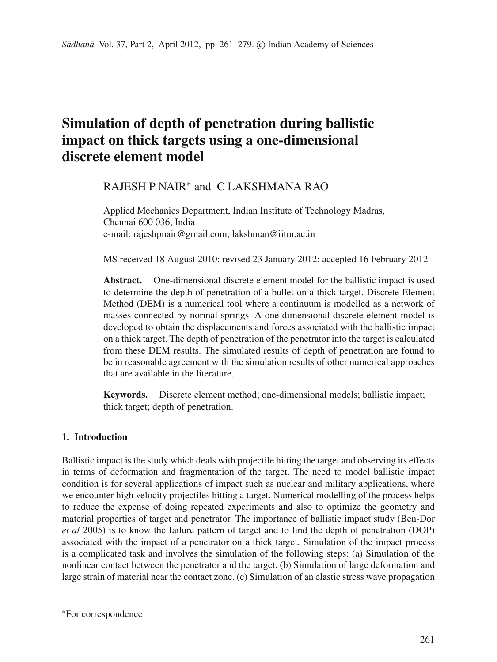# **Simulation of depth of penetration during ballistic impact on thick targets using a one-dimensional discrete element model**

## RAJESH P NAIR<sup>∗</sup> and C LAKSHMANA RAO

Applied Mechanics Department, Indian Institute of Technology Madras, Chennai 600 036, India e-mail: rajeshpnair@gmail.com, lakshman@iitm.ac.in

MS received 18 August 2010; revised 23 January 2012; accepted 16 February 2012

**Abstract.** One-dimensional discrete element model for the ballistic impact is used to determine the depth of penetration of a bullet on a thick target. Discrete Element Method (DEM) is a numerical tool where a continuum is modelled as a network of masses connected by normal springs. A one-dimensional discrete element model is developed to obtain the displacements and forces associated with the ballistic impact on a thick target. The depth of penetration of the penetrator into the target is calculated from these DEM results. The simulated results of depth of penetration are found to be in reasonable agreement with the simulation results of other numerical approaches that are available in the literature.

**Keywords.** Discrete element method; one-dimensional models; ballistic impact; thick target; depth of penetration.

## **1. Introduction**

Ballistic impact is the study which deals with projectile hitting the target and observing its effects in terms of deformation and fragmentation of the target. The need to model ballistic impact condition is for several applications of impact such as nuclear and military applications, where we encounter high velocity projectiles hitting a target. Numerical modelling of the process helps to reduce the expense of doing repeated experiments and also to optimize the geometry and material properties of target and penetrator. The importance of ballistic impact study (Ben-Dor *et al* 2005) is to know the failure pattern of target and to find the depth of penetration (DOP) associated with the impact of a penetrator on a thick target. Simulation of the impact process is a complicated task and involves the simulation of the following steps: (a) Simulation of the nonlinear contact between the penetrator and the target. (b) Simulation of large deformation and large strain of material near the contact zone. (c) Simulation of an elastic stress wave propagation

<sup>∗</sup>For correspondence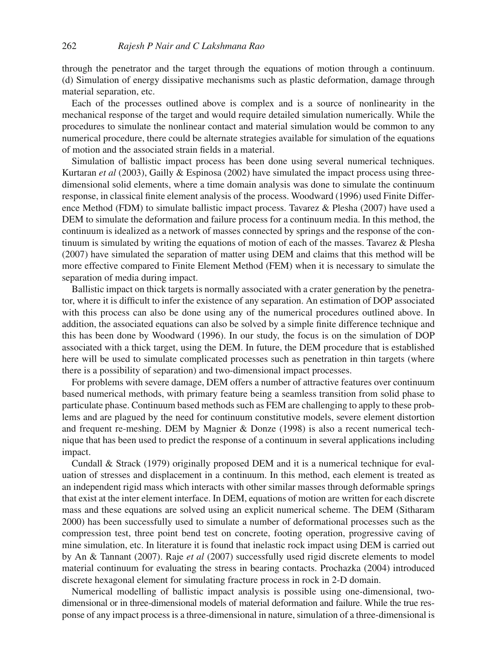through the penetrator and the target through the equations of motion through a continuum. (d) Simulation of energy dissipative mechanisms such as plastic deformation, damage through material separation, etc.

Each of the processes outlined above is complex and is a source of nonlinearity in the mechanical response of the target and would require detailed simulation numerically. While the procedures to simulate the nonlinear contact and material simulation would be common to any numerical procedure, there could be alternate strategies available for simulation of the equations of motion and the associated strain fields in a material.

Simulation of ballistic impact process has been done using several numerical techniques. Kurtaran *et al* (2003), Gailly & Espinosa (2002) have simulated the impact process using threedimensional solid elements, where a time domain analysis was done to simulate the continuum response, in classical finite element analysis of the process. Woodward (1996) used Finite Difference Method (FDM) to simulate ballistic impact process. Tavarez & Plesha (2007) have used a DEM to simulate the deformation and failure process for a continuum media. In this method, the continuum is idealized as a network of masses connected by springs and the response of the continuum is simulated by writing the equations of motion of each of the masses. Tavarez  $\&$  Plesha (2007) have simulated the separation of matter using DEM and claims that this method will be more effective compared to Finite Element Method (FEM) when it is necessary to simulate the separation of media during impact.

Ballistic impact on thick targets is normally associated with a crater generation by the penetrator, where it is difficult to infer the existence of any separation. An estimation of DOP associated with this process can also be done using any of the numerical procedures outlined above. In addition, the associated equations can also be solved by a simple finite difference technique and this has been done by Woodward (1996). In our study, the focus is on the simulation of DOP associated with a thick target, using the DEM. In future, the DEM procedure that is established here will be used to simulate complicated processes such as penetration in thin targets (where there is a possibility of separation) and two-dimensional impact processes.

For problems with severe damage, DEM offers a number of attractive features over continuum based numerical methods, with primary feature being a seamless transition from solid phase to particulate phase. Continuum based methods such as FEM are challenging to apply to these problems and are plagued by the need for continuum constitutive models, severe element distortion and frequent re-meshing. DEM by Magnier & Donze (1998) is also a recent numerical technique that has been used to predict the response of a continuum in several applications including impact.

Cundall & Strack (1979) originally proposed DEM and it is a numerical technique for evaluation of stresses and displacement in a continuum. In this method, each element is treated as an independent rigid mass which interacts with other similar masses through deformable springs that exist at the inter element interface. In DEM, equations of motion are written for each discrete mass and these equations are solved using an explicit numerical scheme. The DEM (Sitharam 2000) has been successfully used to simulate a number of deformational processes such as the compression test, three point bend test on concrete, footing operation, progressive caving of mine simulation, etc. In literature it is found that inelastic rock impact using DEM is carried out by An & Tannant (2007). Raje *et al* (2007) successfully used rigid discrete elements to model material continuum for evaluating the stress in bearing contacts. Prochazka (2004) introduced discrete hexagonal element for simulating fracture process in rock in 2-D domain.

Numerical modelling of ballistic impact analysis is possible using one-dimensional, twodimensional or in three-dimensional models of material deformation and failure. While the true response of any impact process is a three-dimensional in nature, simulation of a three-dimensional is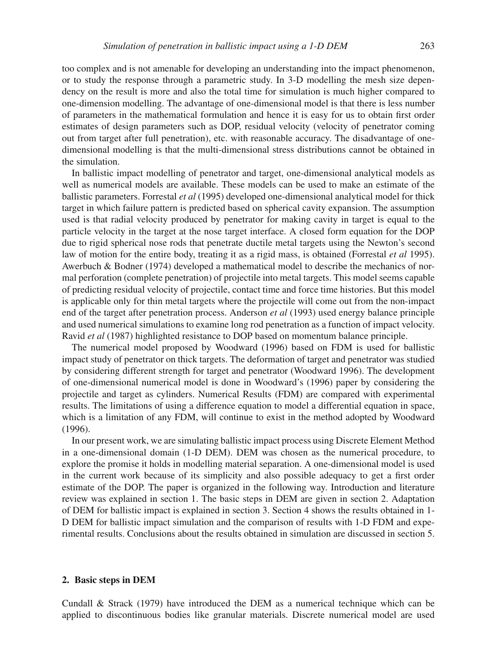too complex and is not amenable for developing an understanding into the impact phenomenon, or to study the response through a parametric study. In 3-D modelling the mesh size dependency on the result is more and also the total time for simulation is much higher compared to one-dimension modelling. The advantage of one-dimensional model is that there is less number of parameters in the mathematical formulation and hence it is easy for us to obtain first order estimates of design parameters such as DOP, residual velocity (velocity of penetrator coming out from target after full penetration), etc. with reasonable accuracy. The disadvantage of onedimensional modelling is that the multi-dimensional stress distributions cannot be obtained in the simulation.

In ballistic impact modelling of penetrator and target, one-dimensional analytical models as well as numerical models are available. These models can be used to make an estimate of the ballistic parameters. Forrestal *et al* (1995) developed one-dimensional analytical model for thick target in which failure pattern is predicted based on spherical cavity expansion. The assumption used is that radial velocity produced by penetrator for making cavity in target is equal to the particle velocity in the target at the nose target interface. A closed form equation for the DOP due to rigid spherical nose rods that penetrate ductile metal targets using the Newton's second law of motion for the entire body, treating it as a rigid mass, is obtained (Forrestal *et al* 1995). Awerbuch & Bodner (1974) developed a mathematical model to describe the mechanics of normal perforation (complete penetration) of projectile into metal targets. This model seems capable of predicting residual velocity of projectile, contact time and force time histories. But this model is applicable only for thin metal targets where the projectile will come out from the non-impact end of the target after penetration process. Anderson *et al* (1993) used energy balance principle and used numerical simulations to examine long rod penetration as a function of impact velocity. Ravid *et al* (1987) highlighted resistance to DOP based on momentum balance principle.

The numerical model proposed by Woodward (1996) based on FDM is used for ballistic impact study of penetrator on thick targets. The deformation of target and penetrator was studied by considering different strength for target and penetrator (Woodward 1996). The development of one-dimensional numerical model is done in Woodward's (1996) paper by considering the projectile and target as cylinders. Numerical Results (FDM) are compared with experimental results. The limitations of using a difference equation to model a differential equation in space, which is a limitation of any FDM, will continue to exist in the method adopted by Woodward (1996).

In our present work, we are simulating ballistic impact process using Discrete Element Method in a one-dimensional domain (1-D DEM). DEM was chosen as the numerical procedure, to explore the promise it holds in modelling material separation. A one-dimensional model is used in the current work because of its simplicity and also possible adequacy to get a first order estimate of the DOP. The paper is organized in the following way. Introduction and literature review was explained in section 1. The basic steps in DEM are given in section 2. Adaptation of DEM for ballistic impact is explained in section 3. Section 4 shows the results obtained in 1- D DEM for ballistic impact simulation and the comparison of results with 1-D FDM and experimental results. Conclusions about the results obtained in simulation are discussed in section 5.

## **2. Basic steps in DEM**

Cundall & Strack (1979) have introduced the DEM as a numerical technique which can be applied to discontinuous bodies like granular materials. Discrete numerical model are used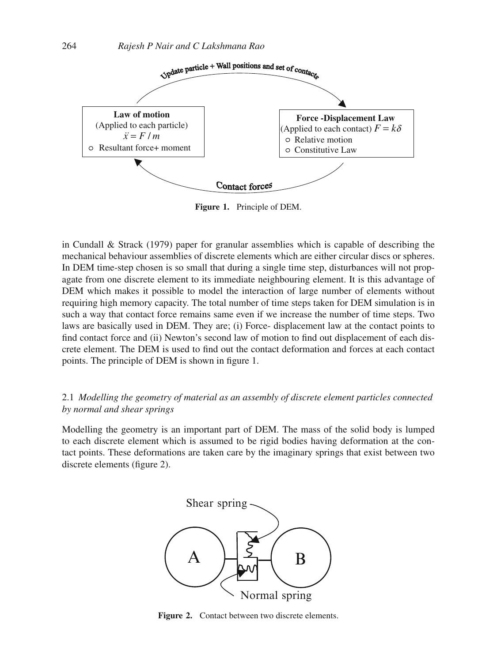

**Figure 1.** Principle of DEM.

in Cundall & Strack (1979) paper for granular assemblies which is capable of describing the mechanical behaviour assemblies of discrete elements which are either circular discs or spheres. In DEM time-step chosen is so small that during a single time step, disturbances will not propagate from one discrete element to its immediate neighbouring element. It is this advantage of DEM which makes it possible to model the interaction of large number of elements without requiring high memory capacity. The total number of time steps taken for DEM simulation is in such a way that contact force remains same even if we increase the number of time steps. Two laws are basically used in DEM. They are; (i) Force- displacement law at the contact points to find contact force and (ii) Newton's second law of motion to find out displacement of each discrete element. The DEM is used to find out the contact deformation and forces at each contact points. The principle of DEM is shown in figure 1.

## 2.1 *Modelling the geometry of material as an assembly of discrete element particles connected by normal and shear springs*

Modelling the geometry is an important part of DEM. The mass of the solid body is lumped to each discrete element which is assumed to be rigid bodies having deformation at the contact points. These deformations are taken care by the imaginary springs that exist between two discrete elements (figure 2).



Figure 2. Contact between two discrete elements.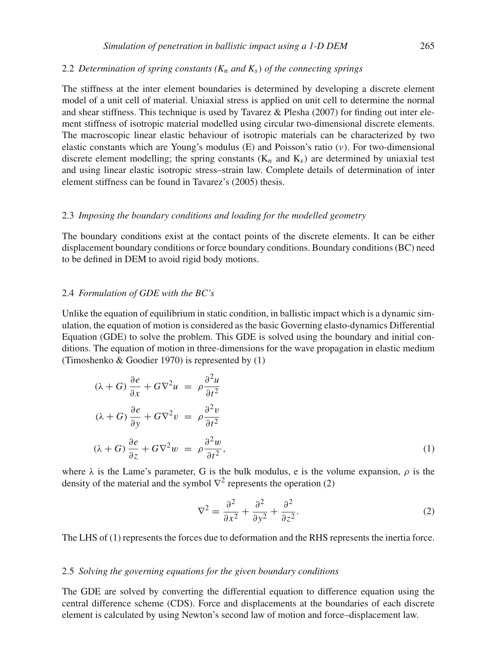#### 2.2 *Determination of spring constants (Kn and Ks*) *of the connecting springs*

The stiffness at the inter element boundaries is determined by developing a discrete element model of a unit cell of material. Uniaxial stress is applied on unit cell to determine the normal and shear stiffness. This technique is used by Tavarez & Plesha (2007) for finding out inter element stiffness of isotropic material modelled using circular two-dimensional discrete elements. The macroscopic linear elastic behaviour of isotropic materials can be characterized by two elastic constants which are Young's modulus (E) and Poisson's ratio  $(\nu)$ . For two-dimensional discrete element modelling; the spring constants  $(K_n$  and  $K_s$ ) are determined by uniaxial test and using linear elastic isotropic stress–strain law. Complete details of determination of inter element stiffness can be found in Tavarez's (2005) thesis.

#### 2.3 *Imposing the boundary conditions and loading for the modelled geometry*

The boundary conditions exist at the contact points of the discrete elements. It can be either displacement boundary conditions or force boundary conditions. Boundary conditions (BC) need to be defined in DEM to avoid rigid body motions.

#### 2.4 *Formulation of GDE with the BC's*

Unlike the equation of equilibrium in static condition, in ballistic impact which is a dynamic simulation, the equation of motion is considered as the basic Governing elasto-dynamics Differential Equation (GDE) to solve the problem. This GDE is solved using the boundary and initial conditions. The equation of motion in three-dimensions for the wave propagation in elastic medium (Timoshenko & Goodier 1970) is represented by (1)

$$
(\lambda + G) \frac{\partial e}{\partial x} + G \nabla^2 u = \rho \frac{\partial^2 u}{\partial t^2}
$$
  
\n
$$
(\lambda + G) \frac{\partial e}{\partial y} + G \nabla^2 v = \rho \frac{\partial^2 v}{\partial t^2}
$$
  
\n
$$
(\lambda + G) \frac{\partial e}{\partial z} + G \nabla^2 w = \rho \frac{\partial^2 w}{\partial t^2},
$$
\n(1)

where  $\lambda$  is the Lame's parameter, G is the bulk modulus, e is the volume expansion,  $\rho$  is the density of the material and the symbol  $\nabla^2$  represents the operation (2)

$$
\nabla^2 = \frac{\partial^2}{\partial x^2} + \frac{\partial^2}{\partial y^2} + \frac{\partial^2}{\partial z^2}.
$$
 (2)

The LHS of (1) represents the forces due to deformation and the RHS represents the inertia force.

#### 2.5 *Solving the governing equations for the given boundary conditions*

The GDE are solved by converting the differential equation to difference equation using the central difference scheme (CDS). Force and displacements at the boundaries of each discrete element is calculated by using Newton's second law of motion and force–displacement law.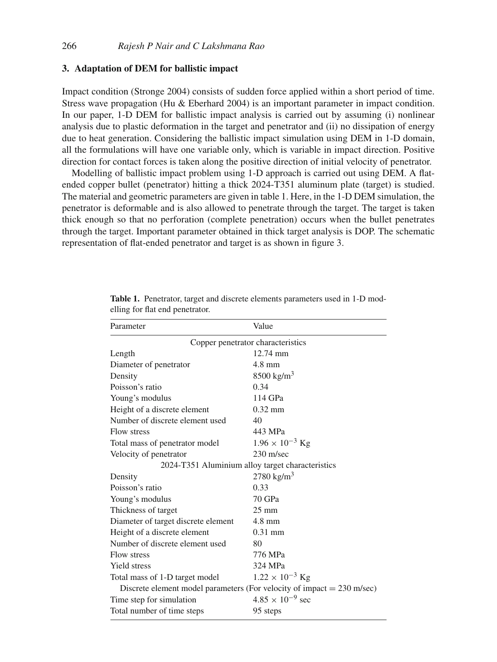## **3. Adaptation of DEM for ballistic impact**

Impact condition (Stronge 2004) consists of sudden force applied within a short period of time. Stress wave propagation (Hu & Eberhard 2004) is an important parameter in impact condition. In our paper, 1-D DEM for ballistic impact analysis is carried out by assuming (i) nonlinear analysis due to plastic deformation in the target and penetrator and (ii) no dissipation of energy due to heat generation. Considering the ballistic impact simulation using DEM in 1-D domain, all the formulations will have one variable only, which is variable in impact direction. Positive direction for contact forces is taken along the positive direction of initial velocity of penetrator.

Modelling of ballistic impact problem using 1-D approach is carried out using DEM. A flatended copper bullet (penetrator) hitting a thick 2024-T351 aluminum plate (target) is studied. The material and geometric parameters are given in table 1. Here, in the 1-D DEM simulation, the penetrator is deformable and is also allowed to penetrate through the target. The target is taken thick enough so that no perforation (complete penetration) occurs when the bullet penetrates through the target. Important parameter obtained in thick target analysis is DOP. The schematic representation of flat-ended penetrator and target is as shown in figure 3.

| Parameter                                                                | Value                     |
|--------------------------------------------------------------------------|---------------------------|
| Copper penetrator characteristics                                        |                           |
| Length                                                                   | 12.74 mm                  |
| Diameter of penetrator                                                   | $4.8 \text{ mm}$          |
| Density                                                                  | 8500 kg/m <sup>3</sup>    |
| Poisson's ratio                                                          | 0.34                      |
| Young's modulus                                                          | $114$ GPa                 |
| Height of a discrete element                                             | $0.32$ mm                 |
| Number of discrete element used                                          | 40                        |
| Flow stress                                                              | 443 MPa                   |
| Total mass of penetrator model                                           | $1.96 \times 10^{-3}$ Kg  |
| Velocity of penetrator                                                   | $230$ m/sec               |
| 2024-T351 Aluminium alloy target characteristics                         |                           |
| Density                                                                  | $2780 \text{ kg/m}^3$     |
| Poisson's ratio                                                          | 0.33                      |
| Young's modulus                                                          | 70 GPa                    |
| Thickness of target                                                      | $25 \text{ mm}$           |
| Diameter of target discrete element                                      | $4.8 \text{ mm}$          |
| Height of a discrete element                                             | $0.31$ mm                 |
| Number of discrete element used                                          | 80                        |
| Flow stress                                                              | 776 MPa                   |
| <b>Yield stress</b>                                                      | 324 MPa                   |
| Total mass of 1-D target model                                           | $1.22 \times 10^{-3}$ Kg  |
| Discrete element model parameters (For velocity of impact $= 230$ m/sec) |                           |
| Time step for simulation                                                 | $4.85 \times 10^{-9}$ sec |
| Total number of time steps                                               | 95 steps                  |

**Table 1.** Penetrator, target and discrete elements parameters used in 1-D modelling for flat end penetrator.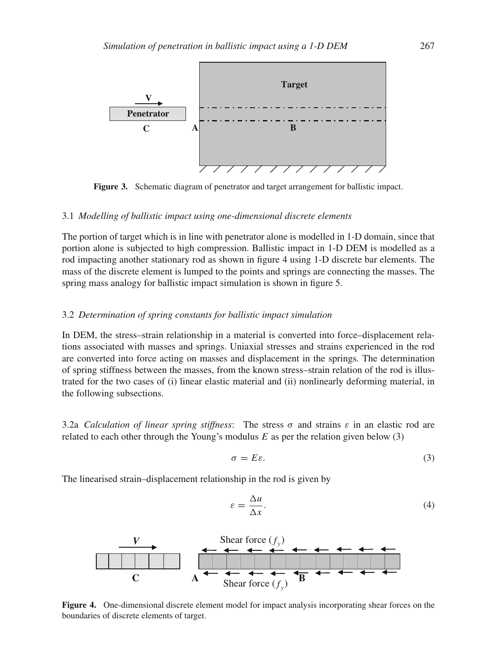

**Figure 3.** Schematic diagram of penetrator and target arrangement for ballistic impact.

#### 3.1 *Modelling of ballistic impact using one-dimensional discrete elements*

The portion of target which is in line with penetrator alone is modelled in 1-D domain, since that portion alone is subjected to high compression. Ballistic impact in 1-D DEM is modelled as a rod impacting another stationary rod as shown in figure 4 using 1-D discrete bar elements. The mass of the discrete element is lumped to the points and springs are connecting the masses. The spring mass analogy for ballistic impact simulation is shown in figure 5.

## 3.2 *Determination of spring constants for ballistic impact simulation*

In DEM, the stress–strain relationship in a material is converted into force–displacement relations associated with masses and springs. Uniaxial stresses and strains experienced in the rod are converted into force acting on masses and displacement in the springs. The determination of spring stiffness between the masses, from the known stress–strain relation of the rod is illustrated for the two cases of (i) linear elastic material and (ii) nonlinearly deforming material, in the following subsections.

3.2a *Calculation of linear spring stiffness*: The stress  $\sigma$  and strains  $\varepsilon$  in an elastic rod are related to each other through the Young's modulus *E* as per the relation given below (3)

$$
\sigma = E\varepsilon. \tag{3}
$$

The linearised strain–displacement relationship in the rod is given by

$$
\varepsilon = \frac{\Delta u}{\Delta x}.\tag{4}
$$



**Figure 4.** One-dimensional discrete element model for impact analysis incorporating shear forces on the boundaries of discrete elements of target.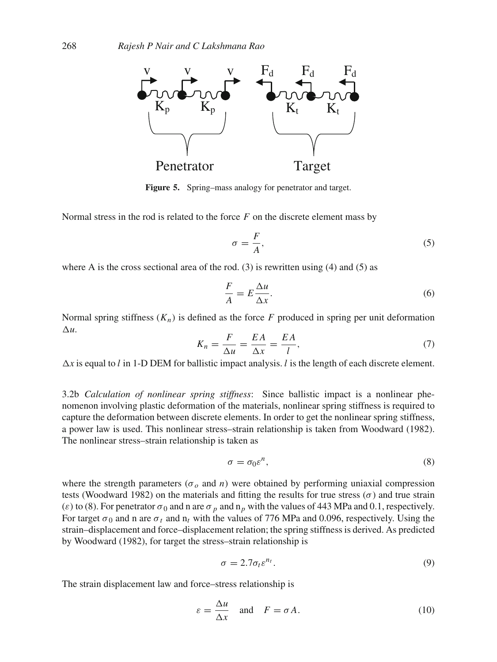

**Figure 5.** Spring–mass analogy for penetrator and target.

Normal stress in the rod is related to the force *F* on the discrete element mass by

$$
\sigma = \frac{F}{A},\tag{5}
$$

where A is the cross sectional area of the rod.  $(3)$  is rewritten using  $(4)$  and  $(5)$  as

$$
\frac{F}{A} = E \frac{\Delta u}{\Delta x}.
$$
\n(6)

Normal spring stiffness  $(K_n)$  is defined as the force *F* produced in spring per unit deformation  $\Delta u$ .

$$
K_n = \frac{F}{\Delta u} = \frac{EA}{\Delta x} = \frac{EA}{l},\tag{7}
$$

*x* is equal to *l* in 1-D DEM for ballistic impact analysis. *l* is the length of each discrete element.

3.2b *Calculation of nonlinear spring stiffness*: Since ballistic impact is a nonlinear phenomenon involving plastic deformation of the materials, nonlinear spring stiffness is required to capture the deformation between discrete elements. In order to get the nonlinear spring stiffness, a power law is used. This nonlinear stress–strain relationship is taken from Woodward (1982). The nonlinear stress–strain relationship is taken as

$$
\sigma = \sigma_0 \varepsilon^n,\tag{8}
$$

where the strength parameters ( $\sigma$ <sub>o</sub> and *n*) were obtained by performing uniaxial compression tests (Woodward 1982) on the materials and fitting the results for true stress  $(\sigma)$  and true strain ( $\varepsilon$ ) to (8). For penetrator  $\sigma_0$  and n are  $\sigma_p$  and  $n_p$  with the values of 443 MPa and 0.1, respectively. For target  $\sigma_0$  and n are  $\sigma_t$  and  $n_t$  with the values of 776 MPa and 0.096, respectively. Using the strain–displacement and force–displacement relation; the spring stiffness is derived. As predicted by Woodward (1982), for target the stress–strain relationship is

$$
\sigma = 2.7 \sigma_t \varepsilon^{n_t}.\tag{9}
$$

The strain displacement law and force–stress relationship is

$$
\varepsilon = \frac{\Delta u}{\Delta x} \quad \text{and} \quad F = \sigma A. \tag{10}
$$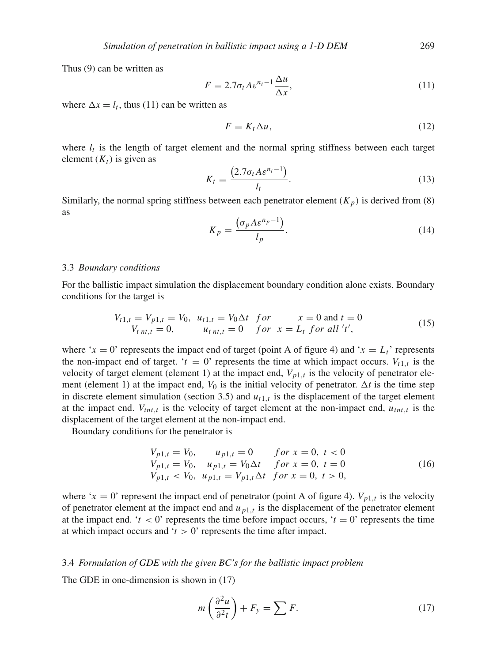Thus (9) can be written as

$$
F = 2.7\sigma_t A \varepsilon^{n_t - 1} \frac{\Delta u}{\Delta x},\tag{11}
$$

where  $\Delta x = l_t$ , thus (11) can be written as

$$
F = K_t \Delta u,\tag{12}
$$

where  $l_t$  is the length of target element and the normal spring stiffness between each target element  $(K_t)$  is given as

$$
K_t = \frac{\left(2.7\sigma_t A \varepsilon^{n_t - 1}\right)}{l_t}.\tag{13}
$$

Similarly, the normal spring stiffness between each penetrator element  $(K_p)$  is derived from (8) as

$$
K_p = \frac{\left(\sigma_p A \varepsilon^{n_p - 1}\right)}{l_p}.\tag{14}
$$

## 3.3 *Boundary conditions*

For the ballistic impact simulation the displacement boundary condition alone exists. Boundary conditions for the target is

$$
V_{t1,t} = V_{p1,t} = V_0, \ \ u_{t1,t} = V_0 \Delta t \ \ \text{for} \ \ x = 0 \text{ and } t = 0
$$
  

$$
V_{tnt,t} = 0, \qquad u_{tnt,t} = 0 \ \ \text{for} \ \ x = L_t \ \text{for all } 't', \tag{15}
$$

where ' $x = 0$ ' represents the impact end of target (point A of figure 4) and ' $x = L_t$ ' represents the non-impact end of target. ' $t = 0$ ' represents the time at which impact occurs.  $V_{t,1,t}$  is the velocity of target element (element 1) at the impact end,  $V_{p1,t}$  is the velocity of penetrator element (element 1) at the impact end,  $V_0$  is the initial velocity of penetrator.  $\Delta t$  is the time step in discrete element simulation (section 3.5) and  $u_{t+1,t}$  is the displacement of the target element at the impact end.  $V_{tnt,t}$  is the velocity of target element at the non-impact end,  $u_{tnt,t}$  is the displacement of the target element at the non-impact end.

Boundary conditions for the penetrator is

$$
V_{p1,t} = V_0, \t u_{p1,t} = 0 \t for x = 0, t < 0V_{p1,t} = V_0, \t u_{p1,t} = V_0 \Delta t \t for x = 0, t = 0V_{p1,t} < V_0, \t u_{p1,t} = V_{p1,t} \Delta t \t for x = 0, t > 0,
$$
\t(16)

where ' $x = 0$ ' represent the impact end of penetrator (point A of figure 4).  $V_{p1,t}$  is the velocity of penetrator element at the impact end and  $u_{p1,t}$  is the displacement of the penetrator element at the impact end. ' $t < 0$ ' represents the time before impact occurs, ' $t = 0$ ' represents the time at which impact occurs and  $t > 0$ ' represents the time after impact.

#### 3.4 *Formulation of GDE with the given BC's for the ballistic impact problem*

The GDE in one-dimension is shown in (17)

$$
m\left(\frac{\partial^2 u}{\partial^2 t}\right) + F_y = \sum F.
$$
 (17)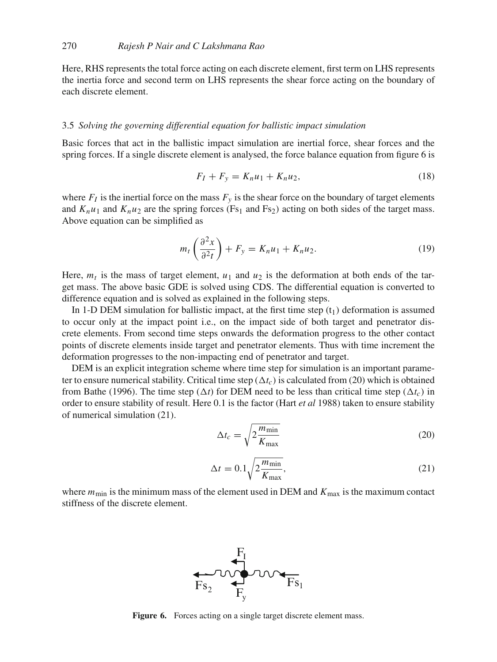Here, RHS represents the total force acting on each discrete element, first term on LHS represents the inertia force and second term on LHS represents the shear force acting on the boundary of each discrete element.

## 3.5 *Solving the governing differential equation for ballistic impact simulation*

Basic forces that act in the ballistic impact simulation are inertial force, shear forces and the spring forces. If a single discrete element is analysed, the force balance equation from figure 6 is

$$
F_I + F_y = K_n u_1 + K_n u_2, \tag{18}
$$

where  $F_I$  is the inertial force on the mass  $F_V$  is the shear force on the boundary of target elements and  $K_nu_1$  and  $K_nu_2$  are the spring forces (Fs<sub>1</sub> and Fs<sub>2</sub>) acting on both sides of the target mass. Above equation can be simplified as

$$
m_t\left(\frac{\partial^2 x}{\partial^2 t}\right) + F_y = K_n u_1 + K_n u_2.
$$
 (19)

Here,  $m_t$  is the mass of target element,  $u_1$  and  $u_2$  is the deformation at both ends of the target mass. The above basic GDE is solved using CDS. The differential equation is converted to difference equation and is solved as explained in the following steps.

In 1-D DEM simulation for ballistic impact, at the first time step  $(t_1)$  deformation is assumed to occur only at the impact point i.e., on the impact side of both target and penetrator discrete elements. From second time steps onwards the deformation progress to the other contact points of discrete elements inside target and penetrator elements. Thus with time increment the deformation progresses to the non-impacting end of penetrator and target.

DEM is an explicit integration scheme where time step for simulation is an important parameter to ensure numerical stability. Critical time step  $(\Delta t_c)$  is calculated from (20) which is obtained from Bathe (1996). The time step ( $\Delta t$ ) for DEM need to be less than critical time step ( $\Delta t_c$ ) in order to ensure stability of result. Here 0.1 is the factor (Hart *et al* 1988) taken to ensure stability of numerical simulation (21).

$$
\Delta t_c = \sqrt{2 \frac{m_{\text{min}}}{K_{\text{max}}}}
$$
(20)

$$
\Delta t = 0.1 \sqrt{2 \frac{m_{\text{min}}}{K_{\text{max}}}},\tag{21}
$$

where  $m_{\text{min}}$  is the minimum mass of the element used in DEM and  $K_{\text{max}}$  is the maximum contact stiffness of the discrete element.



Figure **6.** Forces acting on a single target discrete element mass.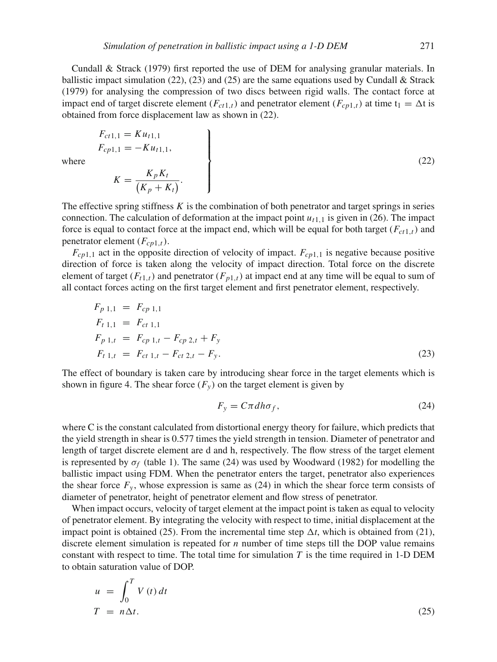Cundall & Strack (1979) first reported the use of DEM for analysing granular materials. In ballistic impact simulation (22), (23) and (25) are the same equations used by Cundall & Strack (1979) for analysing the compression of two discs between rigid walls. The contact force at impact end of target discrete element ( $F_{c_1}$ , *t*) and penetrator element ( $F_{c_1}$ , *t*) at time t<sub>1</sub> =  $\Delta t$  is obtained from force displacement law as shown in (22).

$$
F_{c1,1} = K u_{t1,1}
$$
  
\n
$$
F_{c1,1} = -K u_{t1,1},
$$
  
\n
$$
K = \frac{K_p K_t}{(K_p + K_t)}.
$$
\n(22)

The effective spring stiffness  $K$  is the combination of both penetrator and target springs in series connection. The calculation of deformation at the impact point  $u_{t+1}$  is given in (26). The impact force is equal to contact force at the impact end, which will be equal for both target ( $F_{ct1,t}$ ) and penetrator element  $(F_{cp1,t})$ .

where

 $F_{c p 1,1}$  act in the opposite direction of velocity of impact.  $F_{c p 1,1}$  is negative because positive direction of force is taken along the velocity of impact direction. Total force on the discrete element of target  $(F_{t}$ <sub>1,*t*</sub>) and penetrator  $(F_{p}$ <sub>1,*t*</sub>) at impact end at any time will be equal to sum of all contact forces acting on the first target element and first penetrator element, respectively.

$$
F_{p 1,1} = F_{cp 1,1}
$$
  
\n
$$
F_{t 1,1} = F_{ct 1,1}
$$
  
\n
$$
F_{p 1,t} = F_{cp 1,t} - F_{cp 2,t} + F_y
$$
  
\n
$$
F_{t 1,t} = F_{ct 1,t} - F_{ct 2,t} - F_y.
$$
\n(23)

The effect of boundary is taken care by introducing shear force in the target elements which is shown in figure 4. The shear force  $(F_y)$  on the target element is given by

$$
F_y = C\pi dh \sigma_f,\tag{24}
$$

where C is the constant calculated from distortional energy theory for failure, which predicts that the yield strength in shear is 0.577 times the yield strength in tension. Diameter of penetrator and length of target discrete element are d and h, respectively. The flow stress of the target element is represented by  $\sigma_f$  (table 1). The same (24) was used by Woodward (1982) for modelling the ballistic impact using FDM. When the penetrator enters the target, penetrator also experiences the shear force  $F_y$ , whose expression is same as  $(24)$  in which the shear force term consists of diameter of penetrator, height of penetrator element and flow stress of penetrator.

When impact occurs, velocity of target element at the impact point is taken as equal to velocity of penetrator element. By integrating the velocity with respect to time, initial displacement at the impact point is obtained (25). From the incremental time step  $\Delta t$ , which is obtained from (21), discrete element simulation is repeated for *n* number of time steps till the DOP value remains constant with respect to time. The total time for simulation  $T$  is the time required in 1-D DEM to obtain saturation value of DOP.

$$
u = \int_0^T V(t) dt
$$
  
\n
$$
T = n \Delta t.
$$
\n(25)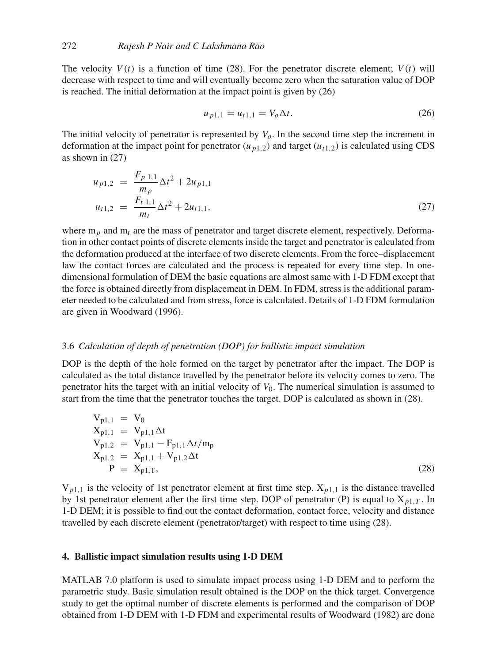The velocity  $V(t)$  is a function of time (28). For the penetrator discrete element;  $V(t)$  will decrease with respect to time and will eventually become zero when the saturation value of DOP is reached. The initial deformation at the impact point is given by (26)

$$
u_{p1,1} = u_{t1,1} = V_o \Delta t. \tag{26}
$$

The initial velocity of penetrator is represented by *Vo*. In the second time step the increment in deformation at the impact point for penetrator  $(u_{p1,2})$  and target  $(u_{t1,2})$  is calculated using CDS as shown in (27)

$$
u_{p1,2} = \frac{F_{p1,1}}{m_p} \Delta t^2 + 2u_{p1,1}
$$
  

$$
u_{t1,2} = \frac{F_{t1,1}}{m_t} \Delta t^2 + 2u_{t1,1},
$$
 (27)

where  $m_p$  and  $m_t$  are the mass of penetrator and target discrete element, respectively. Deformation in other contact points of discrete elements inside the target and penetrator is calculated from the deformation produced at the interface of two discrete elements. From the force–displacement law the contact forces are calculated and the process is repeated for every time step. In onedimensional formulation of DEM the basic equations are almost same with 1-D FDM except that the force is obtained directly from displacement in DEM. In FDM, stress is the additional parameter needed to be calculated and from stress, force is calculated. Details of 1-D FDM formulation are given in Woodward (1996).

## 3.6 *Calculation of depth of penetration (DOP) for ballistic impact simulation*

DOP is the depth of the hole formed on the target by penetrator after the impact. The DOP is calculated as the total distance travelled by the penetrator before its velocity comes to zero. The penetrator hits the target with an initial velocity of *V*0. The numerical simulation is assumed to start from the time that the penetrator touches the target. DOP is calculated as shown in (28).

$$
V_{p1,1} = V_0
$$
  
\n
$$
X_{p1,1} = V_{p1,1} \Delta t
$$
  
\n
$$
V_{p1,2} = V_{p1,1} - F_{p1,1} \Delta t / m_p
$$
  
\n
$$
X_{p1,2} = X_{p1,1} + V_{p1,2} \Delta t
$$
  
\n
$$
P = X_{p1,T},
$$
\n(28)

 $V_{p1,1}$  is the velocity of 1st penetrator element at first time step.  $X_{p1,1}$  is the distance travelled by 1st penetrator element after the first time step. DOP of penetrator (P) is equal to  $X_{p_1,T}$ . In 1-D DEM; it is possible to find out the contact deformation, contact force, velocity and distance travelled by each discrete element (penetrator/target) with respect to time using (28).

## **4. Ballistic impact simulation results using 1-D DEM**

MATLAB 7.0 platform is used to simulate impact process using 1-D DEM and to perform the parametric study. Basic simulation result obtained is the DOP on the thick target. Convergence study to get the optimal number of discrete elements is performed and the comparison of DOP obtained from 1-D DEM with 1-D FDM and experimental results of Woodward (1982) are done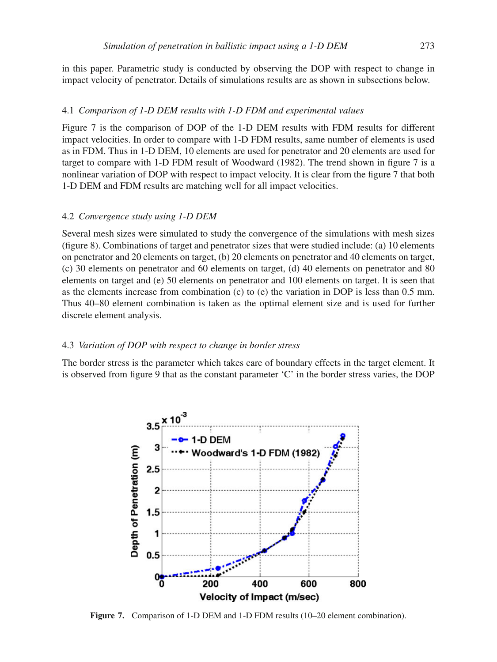in this paper. Parametric study is conducted by observing the DOP with respect to change in impact velocity of penetrator. Details of simulations results are as shown in subsections below.

## 4.1 *Comparison of 1-D DEM results with 1-D FDM and experimental values*

Figure 7 is the comparison of DOP of the 1-D DEM results with FDM results for different impact velocities. In order to compare with 1-D FDM results, same number of elements is used as in FDM. Thus in 1-D DEM, 10 elements are used for penetrator and 20 elements are used for target to compare with 1-D FDM result of Woodward (1982). The trend shown in figure 7 is a nonlinear variation of DOP with respect to impact velocity. It is clear from the figure 7 that both 1-D DEM and FDM results are matching well for all impact velocities.

#### 4.2 *Convergence study using 1-D DEM*

Several mesh sizes were simulated to study the convergence of the simulations with mesh sizes (figure 8). Combinations of target and penetrator sizes that were studied include: (a) 10 elements on penetrator and 20 elements on target, (b) 20 elements on penetrator and 40 elements on target, (c) 30 elements on penetrator and 60 elements on target, (d) 40 elements on penetrator and 80 elements on target and (e) 50 elements on penetrator and 100 elements on target. It is seen that as the elements increase from combination (c) to (e) the variation in DOP is less than 0.5 mm. Thus 40–80 element combination is taken as the optimal element size and is used for further discrete element analysis.

#### 4.3 *Variation of DOP with respect to change in border stress*

The border stress is the parameter which takes care of boundary effects in the target element. It is observed from figure 9 that as the constant parameter 'C' in the border stress varies, the DOP



**Figure 7.** Comparison of 1-D DEM and 1-D FDM results (10–20 element combination).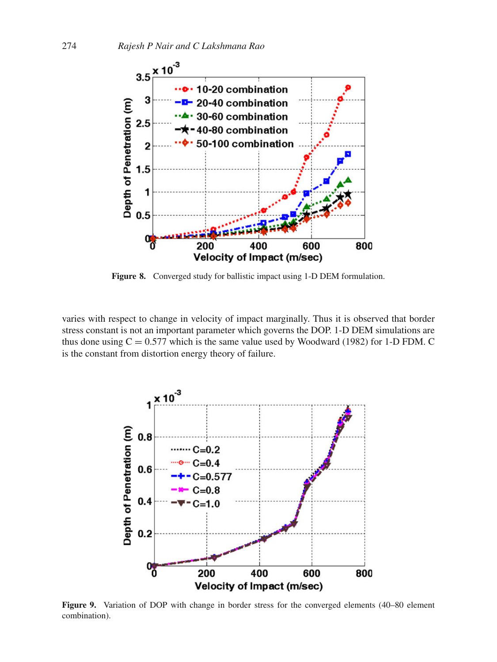

**Figure 8.** Converged study for ballistic impact using 1-D DEM formulation.

varies with respect to change in velocity of impact marginally. Thus it is observed that border stress constant is not an important parameter which governs the DOP. 1-D DEM simulations are thus done using  $C = 0.577$  which is the same value used by Woodward (1982) for 1-D FDM. C is the constant from distortion energy theory of failure.



**Figure 9.** Variation of DOP with change in border stress for the converged elements (40–80 element combination).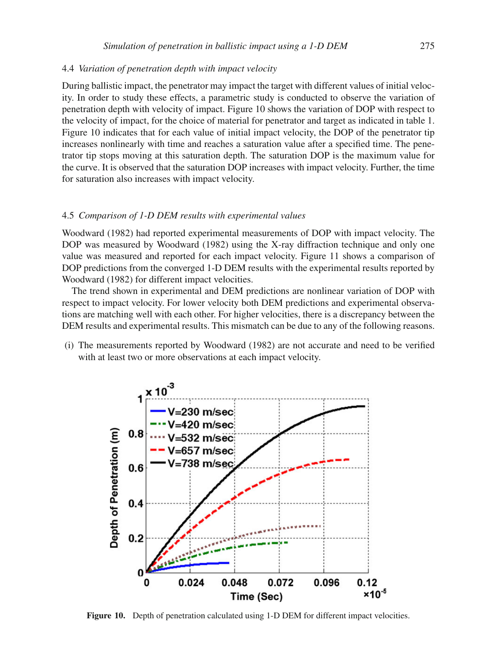## 4.4 *Variation of penetration depth with impact velocity*

During ballistic impact, the penetrator may impact the target with different values of initial velocity. In order to study these effects, a parametric study is conducted to observe the variation of penetration depth with velocity of impact. Figure 10 shows the variation of DOP with respect to the velocity of impact, for the choice of material for penetrator and target as indicated in table 1. Figure 10 indicates that for each value of initial impact velocity, the DOP of the penetrator tip increases nonlinearly with time and reaches a saturation value after a specified time. The penetrator tip stops moving at this saturation depth. The saturation DOP is the maximum value for the curve. It is observed that the saturation DOP increases with impact velocity. Further, the time for saturation also increases with impact velocity.

#### 4.5 *Comparison of 1-D DEM results with experimental values*

Woodward (1982) had reported experimental measurements of DOP with impact velocity. The DOP was measured by Woodward (1982) using the X-ray diffraction technique and only one value was measured and reported for each impact velocity. Figure 11 shows a comparison of DOP predictions from the converged 1-D DEM results with the experimental results reported by Woodward (1982) for different impact velocities.

The trend shown in experimental and DEM predictions are nonlinear variation of DOP with respect to impact velocity. For lower velocity both DEM predictions and experimental observations are matching well with each other. For higher velocities, there is a discrepancy between the DEM results and experimental results. This mismatch can be due to any of the following reasons.

(i) The measurements reported by Woodward (1982) are not accurate and need to be verified with at least two or more observations at each impact velocity.



**Figure 10.** Depth of penetration calculated using 1-D DEM for different impact velocities.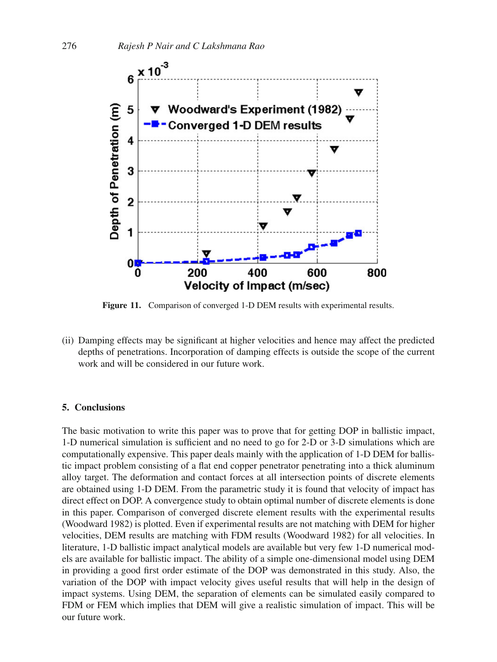

**Figure 11.** Comparison of converged 1-D DEM results with experimental results.

(ii) Damping effects may be significant at higher velocities and hence may affect the predicted depths of penetrations. Incorporation of damping effects is outside the scope of the current work and will be considered in our future work.

## **5. Conclusions**

The basic motivation to write this paper was to prove that for getting DOP in ballistic impact, 1-D numerical simulation is sufficient and no need to go for 2-D or 3-D simulations which are computationally expensive. This paper deals mainly with the application of 1-D DEM for ballistic impact problem consisting of a flat end copper penetrator penetrating into a thick aluminum alloy target. The deformation and contact forces at all intersection points of discrete elements are obtained using 1-D DEM. From the parametric study it is found that velocity of impact has direct effect on DOP. A convergence study to obtain optimal number of discrete elements is done in this paper. Comparison of converged discrete element results with the experimental results (Woodward 1982) is plotted. Even if experimental results are not matching with DEM for higher velocities, DEM results are matching with FDM results (Woodward 1982) for all velocities. In literature, 1-D ballistic impact analytical models are available but very few 1-D numerical models are available for ballistic impact. The ability of a simple one-dimensional model using DEM in providing a good first order estimate of the DOP was demonstrated in this study. Also, the variation of the DOP with impact velocity gives useful results that will help in the design of impact systems. Using DEM, the separation of elements can be simulated easily compared to FDM or FEM which implies that DEM will give a realistic simulation of impact. This will be our future work.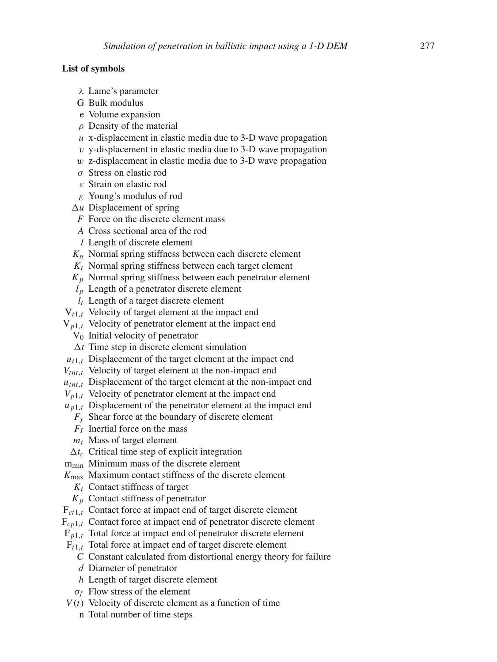## **List of symbols**

- λ Lame's parameter
- G Bulk modulus
- e Volume expansion
- $\rho$  Density of the material
- *u* x-displacement in elastic media due to 3-D wave propagation
- $v$  y-displacement in elastic media due to 3-D wave propagation
- w z-displacement in elastic media due to 3-D wave propagation
- σ Stress on elastic rod
- ε Strain on elastic rod
- *<sup>E</sup>* Young's modulus of rod
- $\Delta u$  Displacement of spring
- *F* Force on the discrete element mass
- *A* Cross sectional area of the rod
- *l* Length of discrete element
- *Kn* Normal spring stiffness between each discrete element
- *Kt* Normal spring stiffness between each target element
- *Kp* Normal spring stiffness between each penetrator element
- $l_p$  Length of a penetrator discrete element
- *lt* Length of a target discrete element
- V*t*1,*<sup>t</sup>* Velocity of target element at the impact end
- V*p*1,*<sup>t</sup>* Velocity of penetrator element at the impact end
	- $V_0$  Initial velocity of penetrator
	- $\Delta t$  Time step in discrete element simulation
- $u_{t}$ <sub> $t$ </sub> Displacement of the target element at the impact end
- *Vtnt*,*<sup>t</sup>* Velocity of target element at the non-impact end
- $u_{tnt,t}$  Displacement of the target element at the non-impact end
- $V_{p1,t}$  Velocity of penetrator element at the impact end
- $u_{p1,t}$  Displacement of the penetrator element at the impact end
	- $F<sub>v</sub>$  Shear force at the boundary of discrete element
	- *FI* Inertial force on the mass
	- *mt* Mass of target element
- $\Delta t_c$  Critical time step of explicit integration
- $m<sub>min</sub>$  Minimum mass of the discrete element
- *K*max Maximum contact stiffness of the discrete element
	- *Kt* Contact stiffness of target
	- $K_p$  Contact stiffness of penetrator
- F*ct*1,*<sup>t</sup>* Contact force at impact end of target discrete element
- F*cp*1,*<sup>t</sup>* Contact force at impact end of penetrator discrete element
- F*p*1,*<sup>t</sup>* Total force at impact end of penetrator discrete element
- F*t*1,*<sup>t</sup>* Total force at impact end of target discrete element
	- *C* Constant calculated from distortional energy theory for failure
	- *d* Diameter of penetrator
	- *h* Length of target discrete element
	- σ*f* Flow stress of the element
- $V(t)$  Velocity of discrete element as a function of time
	- n Total number of time steps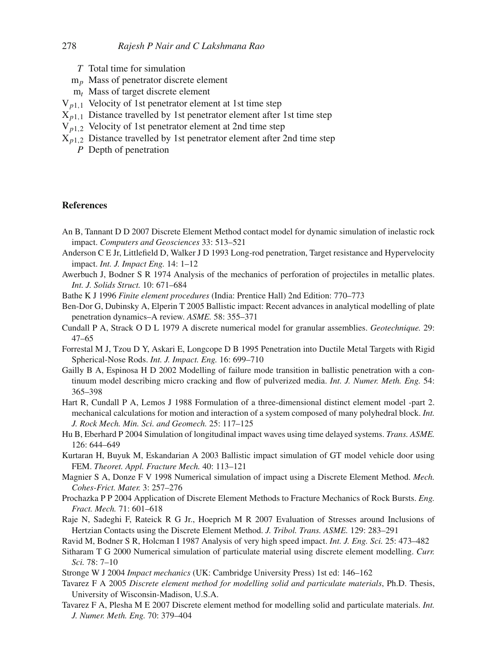- *T* Total time for simulation
- m*<sup>p</sup>* Mass of penetrator discrete element
- m*<sup>t</sup>* Mass of target discrete element
- $V_{p1,1}$  Velocity of 1st penetrator element at 1st time step
- $X_{p1,1}$  Distance travelled by 1st penetrator element after 1st time step
- V*p*1,<sup>2</sup> Velocity of 1st penetrator element at 2nd time step
- $X_{n1,2}$  Distance travelled by 1st penetrator element after 2nd time step
	- *P* Depth of penetration

## **References**

- An B, Tannant D D 2007 Discrete Element Method contact model for dynamic simulation of inelastic rock impact. *Computers and Geosciences* 33: 513–521
- Anderson C E Jr, Littlefield D, Walker J D 1993 Long-rod penetration, Target resistance and Hypervelocity impact. *Int. J. Impact Eng.* 14: 1–12
- Awerbuch J, Bodner S R 1974 Analysis of the mechanics of perforation of projectiles in metallic plates. *Int. J. Solids Struct.* 10: 671–684
- Bathe K J 1996 *Finite element procedures* (India: Prentice Hall) 2nd Edition: 770–773
- Ben-Dor G, Dubinsky A, Elperin T 2005 Ballistic impact: Recent advances in analytical modelling of plate penetration dynamics–A review. *ASME.* 58: 355–371
- Cundall P A, Strack O D L 1979 A discrete numerical model for granular assemblies. *Geotechnique.* 29: 47–65
- Forrestal M J, Tzou D Y, Askari E, Longcope D B 1995 Penetration into Ductile Metal Targets with Rigid Spherical-Nose Rods. *Int. J. Impact. Eng.* 16: 699–710
- Gailly B A, Espinosa H D 2002 Modelling of failure mode transition in ballistic penetration with a continuum model describing micro cracking and flow of pulverized media. *Int. J. Numer. Meth. Eng.* 54: 365–398
- Hart R, Cundall P A, Lemos J 1988 Formulation of a three-dimensional distinct element model -part 2. mechanical calculations for motion and interaction of a system composed of many polyhedral block. *Int. J. Rock Mech. Min. Sci. and Geomech.* 25: 117–125
- Hu B, Eberhard P 2004 Simulation of longitudinal impact waves using time delayed systems. *Trans. ASME.* 126: 644–649
- Kurtaran H, Buyuk M, Eskandarian A 2003 Ballistic impact simulation of GT model vehicle door using FEM. *Theoret. Appl. Fracture Mech.* 40: 113–121
- Magnier S A, Donze F V 1998 Numerical simulation of impact using a Discrete Element Method. *Mech. Cohes-Frict. Mater.* 3: 257–276
- Prochazka P P 2004 Application of Discrete Element Methods to Fracture Mechanics of Rock Bursts. *Eng. Fract. Mech.* 71: 601–618
- Raje N, Sadeghi F, Rateick R G Jr., Hoeprich M R 2007 Evaluation of Stresses around Inclusions of Hertzian Contacts using the Discrete Element Method. *J. Tribol. Trans. ASME.* 129: 283–291
- Ravid M, Bodner S R, Holcman I 1987 Analysis of very high speed impact. *Int. J. Eng. Sci.* 25: 473–482
- Sitharam T G 2000 Numerical simulation of particulate material using discrete element modelling. *Curr. Sci.* 78: 7–10
- Stronge W J 2004 *Impact mechanics* (UK: Cambridge University Press) 1st ed: 146–162
- Tavarez F A 2005 *Discrete element method for modelling solid and particulate materials*, Ph.D. Thesis, University of Wisconsin-Madison, U.S.A.
- Tavarez F A, Plesha M E 2007 Discrete element method for modelling solid and particulate materials. *Int. J. Numer. Meth. Eng.* 70: 379–404